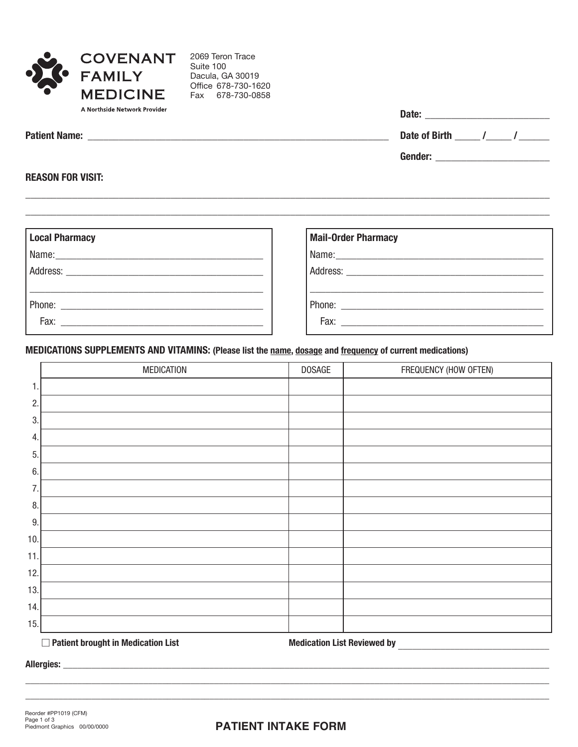

| Date:         |  |  |
|---------------|--|--|
|               |  |  |
| Date of Birth |  |  |

Patient Name: Name and Second Contract of the Second Contract of the Second Contract of the Second Contract of the Second Contract of the Second Contract of the Second Contract of the Second Contract of the Second Contract

Gender: \_\_\_\_\_

#### **REASON FOR VISIT:**

| <b>Local Pharmacy</b>                                                                                                        | <b>Mail-Order Pharmacy</b> |
|------------------------------------------------------------------------------------------------------------------------------|----------------------------|
|                                                                                                                              |                            |
|                                                                                                                              |                            |
| Fax:<br><u> 1980 - Jan Samuel Barbara, margaret e populari e populari e populari e populari e populari e populari e popu</u> |                            |

### MEDICATIONS SUPPLEMENTS AND VITAMINS: (Please list the name, dosage and frequency of current medications)

|     | <b>MEDICATION</b> | <b>DOSAGE</b> | FREQUENCY (HOW OFTEN) |
|-----|-------------------|---------------|-----------------------|
| 1.  |                   |               |                       |
| 2.  |                   |               |                       |
| 3.  |                   |               |                       |
| 4.  |                   |               |                       |
| 5.  |                   |               |                       |
| 6.  |                   |               |                       |
| 7.  |                   |               |                       |
| 8.  |                   |               |                       |
| 9.  |                   |               |                       |
| 10. |                   |               |                       |
| 11. |                   |               |                       |
| 12. |                   |               |                       |
| 13. |                   |               |                       |
| 14. |                   |               |                       |
| 15. |                   |               |                       |
|     |                   |               |                       |

□ Patient brought in Medication List

Allergies: \_\_\_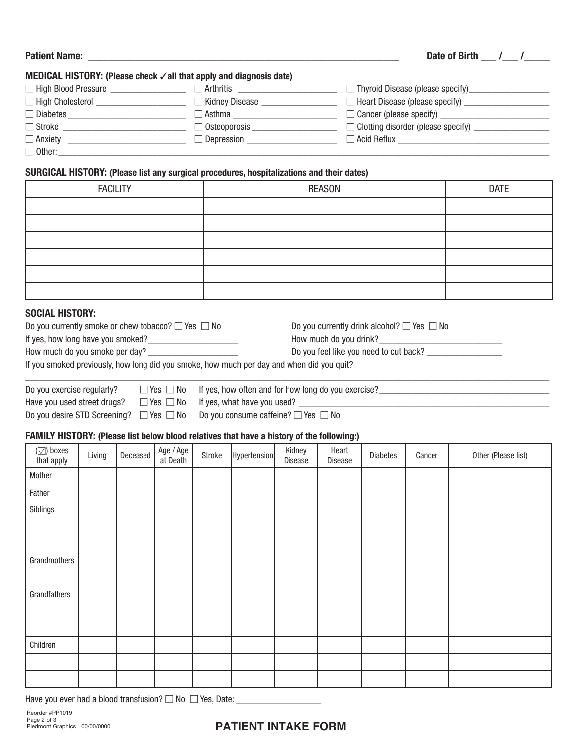# Patient Name: \_\_\_\_\_\_\_\_\_\_\_\_\_\_\_\_\_\_\_\_\_\_\_\_\_\_\_\_\_\_\_\_\_\_\_\_\_\_\_\_\_\_\_\_\_\_\_\_\_\_\_\_\_\_\_\_\_\_\_\_ Date of Birth \_\_\_ /\_\_\_ /\_\_\_\_\_

# MEDICAL HISTORY: (Please check ∕all that apply and diagnosis date)

| $\Box$ High Blood Pressure | 1 Arthritis           | $\Box$ Thyroid Disease (please specify)   |
|----------------------------|-----------------------|-------------------------------------------|
| □ High Cholesterol         | $\Box$ Kidney Disease | $\Box$ Heart Disease (please specify)     |
| $\Box$ Diabetes            | ⊤Asthma               | $\Box$ Cancer (please specify) $\Box$     |
| $\Box$ Stroke              | $\Box$ Osteoporosis   | $\Box$ Clotting disorder (please specify) |
| $\Box$ Anxiety             | Depression            | $\lnot$ Acid Reflux                       |
| $\Box$ Other:              |                       |                                           |

#### SURGICAL HISTORY: (Please list any surgical procedures, hospitalizations and their dates)

| <b>FACILITY</b> | <b>REASON</b> | <b>DATE</b> |
|-----------------|---------------|-------------|
|                 |               |             |
|                 |               |             |
|                 |               |             |
|                 |               |             |
|                 |               |             |
|                 |               |             |

## SOCIAL HISTORY:

| Do you currently smoke or chew tobacco? $\Box$ Yes $\Box$ No |  |
|--------------------------------------------------------------|--|
|--------------------------------------------------------------|--|

Do you currently drink alcohol? □ Yes □ No If yes, how long have you smoked?\_\_\_\_\_\_\_\_\_\_\_\_\_\_\_\_\_\_\_ How much do you drink?\_\_\_\_\_\_\_\_\_\_\_\_\_\_\_\_\_\_\_\_\_\_\_\_\_\_

How much do you smoke per day? \_\_\_\_\_\_\_\_\_\_\_\_\_\_\_\_\_\_\_ Do you feel like you need to cut back? \_\_\_\_\_\_\_\_\_\_\_\_\_\_\_\_

If you smoked previously, how long did you smoke, how much per day and when did you quit?

| Do you exercise regularly?                                                   | $\Box$ Yes $\Box$ No If yes, how often and for how long do you exercise?                        |
|------------------------------------------------------------------------------|-------------------------------------------------------------------------------------------------|
| Have you used street drugs? $\Box$ Yes $\Box$ No If yes, what have you used? |                                                                                                 |
|                                                                              | Do you desire STD Screening? $\Box$ Yes $\Box$ No Do you consume caffeine? $\Box$ Yes $\Box$ No |

\_\_\_\_\_\_\_\_\_\_\_\_\_\_\_\_\_\_\_\_\_\_\_\_\_\_\_\_\_\_\_\_\_\_\_\_\_\_\_\_\_\_\_\_\_\_\_\_\_\_\_\_\_\_\_\_\_\_\_\_\_\_\_\_\_\_\_\_\_\_\_\_\_\_\_\_\_\_\_\_\_\_\_\_\_\_\_\_\_\_\_\_\_\_\_\_\_\_\_\_\_\_\_\_\_\_\_\_\_\_\_

#### FAMILY HISTORY: (Please list below blood relatives that have a history of the following:)

| $(\sqrt{ } )$ boxes<br>that apply | Living | Deceased | Age / Age<br>at Death | Stroke | Hypertension | Kidney<br>Disease | Heart<br>Disease | Diabetes | Cancer | Other (Please list) |
|-----------------------------------|--------|----------|-----------------------|--------|--------------|-------------------|------------------|----------|--------|---------------------|
| Mother                            |        |          |                       |        |              |                   |                  |          |        |                     |
| Father                            |        |          |                       |        |              |                   |                  |          |        |                     |
| Siblings                          |        |          |                       |        |              |                   |                  |          |        |                     |
|                                   |        |          |                       |        |              |                   |                  |          |        |                     |
|                                   |        |          |                       |        |              |                   |                  |          |        |                     |
| Grandmothers                      |        |          |                       |        |              |                   |                  |          |        |                     |
|                                   |        |          |                       |        |              |                   |                  |          |        |                     |
| Grandfathers                      |        |          |                       |        |              |                   |                  |          |        |                     |
|                                   |        |          |                       |        |              |                   |                  |          |        |                     |
|                                   |        |          |                       |        |              |                   |                  |          |        |                     |
| Children                          |        |          |                       |        |              |                   |                  |          |        |                     |
|                                   |        |          |                       |        |              |                   |                  |          |        |                     |
|                                   |        |          |                       |        |              |                   |                  |          |        |                     |

Have you ever had a blood transfusion? □ No □ Yes, Date: \_\_\_\_\_\_\_\_\_\_\_\_\_\_\_\_\_\_\_\_\_\_\_

# **PATIENT INTAKE FORM**